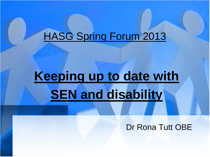# HASG Spring Forum 2013

# **Keeping up to date with SEN and disability**

### Dr Rona Tutt OBE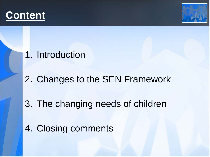



### 1. Introduction

## 2. Changes to the SEN Framework

## 3. The changing needs of children

4. Closing comments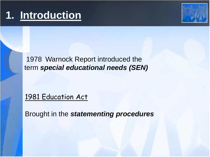# **1. Introduction**



1978 Warnock Report introduced the term *special educational needs (SEN)*

1981 Education Act

Brought in the *statementing procedures*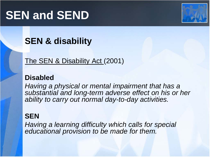# **SEN and SEND**



## **SEN & disability**

The SEN & Disability Act (2001)

### **Disabled**

*Having a physical or mental impairment that has a substantial and long-term adverse effect on his or her ability to carry out normal day-to-day activities.*

### **SEN**

*Having a learning difficulty which calls for special educational provision to be made for them.*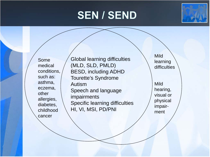## **SEN / SEND**



Some medical conditions, such as: asthma, eczema, other allergies, diabetes, childhood cancer

Global learning difficulties (MLD, SLD, PMLD) BESD, including ADHD Tourette's Syndrome Autism Speech and language impairments Specific learning difficulties HI, VI, MSI, PD/PNI

Mild learning **difficulties** 

Mild hearing, visual or physical impairment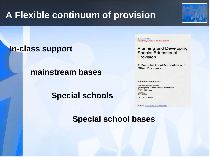## **A Flexible continuum of provision**

### **In-class support**

### **mainstream bases**

 **Special schools**

department for children, schools and families

**Planning and Developing Special Educational** Provision

A Guide for Local Authorities and **Other Proposers** 

For further information:

**SEN and Disability Division** Department for Children, Schools and Families **Caxton House** 6 - 12 Tothill Street London SW1H 9NA

Tel: O207 273 4914

Website: www.dcsf.gov.uk/schoolorg

 **Special school bases**

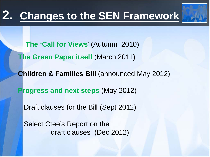# **2. Changes to the SEN Framework**



 **The 'Call for Views**' (Autumn 2010)

**The Green Paper itself (March 2011)** 

**Children & Families Bill (announced May 2012)** 

 **Progress and next steps** (May 2012)

Draft clauses for the Bill (Sept 2012)

 Select Ctee's Report on the draft clauses (Dec 2012)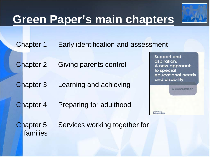# **Green Paper's main chapters**



Chapter 2 Giving parents control

Chapter 3 Learning and achieving

Chapter 4 Preparing for adulthood

**Support and** aspiration: A new approach to special educational needs and disability



Chapter 5 Services working together for families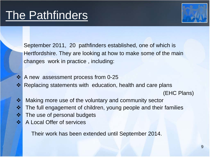

 September 2011, 20 pathfinders established, one of which is Hertfordshire. They are looking at how to make some of the main changes work in practice , including:

- $\cdot$  A new assessment process from 0-25
- **\*** Replacing statements with education, health and care plans

(EHC Plans)

- ❖ Making more use of the voluntary and community sector  $\cdot \cdot$  The full engagement of children, young people and their families
- $\cdot$  **The use of personal budgets**
- ❖ A Local Offer of services

Their work has been extended until September 2014.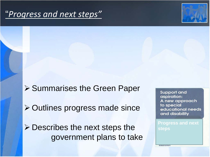### "*Progress and next steps"*



**≻ Summarises the Green Paper ≻ Outlines progress made since**  $\triangleright$  Describes the next steps the government plans to take

**Support and** aspiration: A new approach to special educational needs and disability

**Progress and next steps**

**FOLLOGENDE**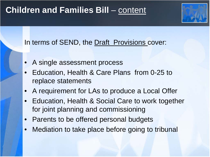### **Children and Families Bill – content**

### In terms of SEND, the Draft Provisions cover:

- A single assessment process
- Education, Health & Care Plans from 0-25 to replace statements
- A requirement for LAs to produce a Local Offer
- Education, Health & Social Care to work together for joint planning and commissioning
- Parents to be offered personal budgets
- Mediation to take place before going to tribunal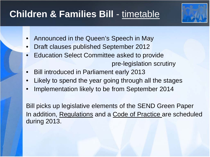## **Children & Families Bill** - timetable



- Announced in the Queen's Speech in May
- Draft clauses published September 2012
- Education Select Committee asked to provide pre-legislation scrutiny
- Bill introduced in Parliament early 2013
- Likely to spend the year going through all the stages
- Implementation likely to be from September 2014

Bill picks up legislative elements of the SEND Green Paper In addition, Regulations and a Code of Practice are scheduled during 2013.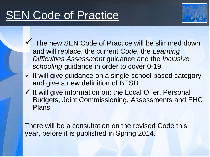# **SEN Code of Practice**



- $\checkmark$  The new SEN Code of Practice will be slimmed down and will replace, the current *Code*, the *Learning Difficulties Assessment* guidance and the *Inclusive schooling* guidance in order to cover 0-19
- $\checkmark$  It will give guidance on a single school based category and give a new definition of BESD
- $\checkmark$  It will give information on: the Local Offer, Personal Budgets, Joint Commissioning, Assessments and EHC Plans

There will be a consultation on the revised Code this year, before it is published in Spring 2014.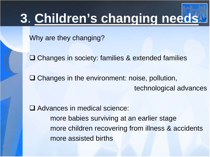# **3**. **Children's changing needs**

Why are they changing?

**□ Changes in society: families & extended families** 

 $\Box$  Changes in the environment: noise, pollution, technological advances

□ Advances in medical science: more babies surviving at an earlier stage more children recovering from illness & accidents more assisted births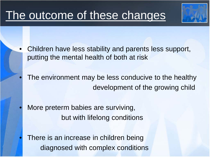# The outcome of these changes

- Children have less stability and parents less support, putting the mental health of both at risk
- The environment may be less conducive to the healthy development of the growing child
- More preterm babies are surviving, but with lifelong conditions
- There is an increase in children being diagnosed with complex conditions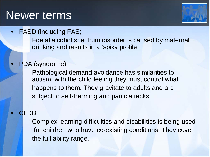## Newer terms



• FASD (including FAS)

Foetal alcohol spectrum disorder is caused by maternal drinking and results in a 'spiky profile'

• PDA (syndrome)

Pathological demand avoidance has similarities to autism, with the child feeling they must control what happens to them. They gravitate to adults and are subject to self- harming and panic attacks

#### • CLDD

Complex learning difficulties and disabilities is being used for children who have co-existing conditions. They cover the full ability range.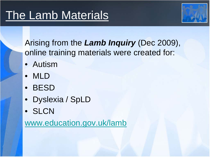

Arising from the *Lamb Inquiry* (Dec 2009), online training materials were created for:

- Autism
- MLD
- BESD
- Dyslexia / SpLD
- **SLCN**

[www.education.gov.uk/lamb](http://www.education.gov.uk/lamb)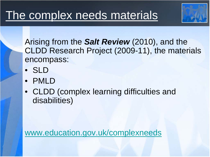

Arising from the *Salt Review* (2010), and the CLDD Research Project (2009-11), the materials encompass:

- SLD
- PMLD
- CLDD (complex learning difficulties and disabilities)

[www.education.gov.uk/complexneeds](http://www.education.gov.uk/complexneeds)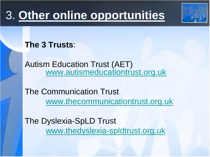# 3. **Other online opportunities**



**The 3 Trusts**:

Autism Education Trust (AET) [www.autismeducationtrust.org.uk](http://www.autismeducationtrust.org.uk/)

The Communication Trust [www.thecommunicationtrust.org.uk](http://www.thecommunicationtrust.org.uk/)

The Dyslexia-SpLD Trust [www.thedyslexia-spldtrust.org.uk](http://www.thedyslexia-spldtrust.org.uk/)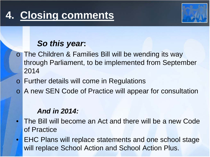

### *So this year***:**

- o The Children & Families Bill will be wending its way through Parliament, to be implemented from September 2014
- o Further details will come in Regulations
- o A new SEN Code of Practice will appear for consultation

#### *And in 2014:*

- The Bill will become an Act and there will be a new Code of Practice
- EHC Plans will replace statements and one school stage will replace School Action and School Action Plus.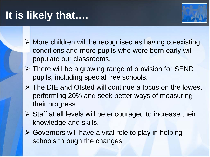# **It is likely that….**



- ▶ More children will be recognised as having co-existing conditions and more pupils who were born early will populate our classrooms.
- $\triangleright$  There will be a growing range of provision for SEND pupils, including special free schools.
- The DfE and Ofsted will continue a focus on the lowest performing 20% and seek better ways of measuring their progress.
- $\triangleright$  Staff at all levels will be encouraged to increase their knowledge and skills.
- $\triangleright$  Governors will have a vital role to play in helping schools through the changes.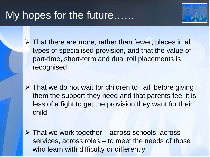## My hopes for the future……



 $\triangleright$  That there are more, rather than fewer, places in all types of specialised provision, and that the value of part-time, short-term and dual roll placements is recognised

 $\triangleright$  That we do not wait for children to 'fail' before giving them the support they need and that parents feel it is less of a fight to get the provision they want for their child

 $\triangleright$  That we work together – across schools, across services, across roles – to meet the needs of those who learn with difficulty or differently.